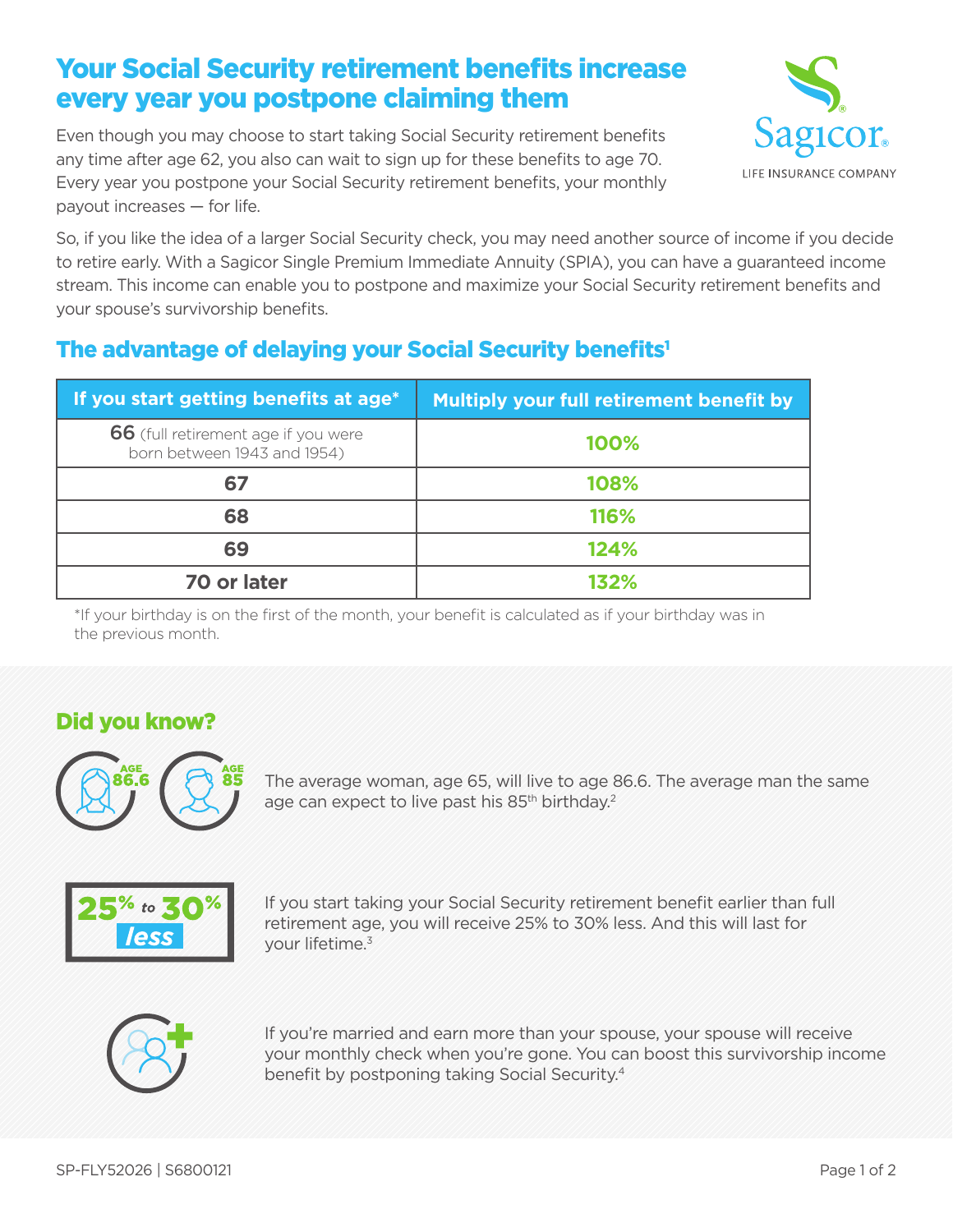# Your Social Security retirement benefits increase every year you postpone claiming them

Even though you may choose to start taking Social Security retirement benefits any time after age 62, you also can wait to sign up for these benefits to age 70. Every year you postpone your Social Security retirement benefits, your monthly payout increases — for life.



So, if you like the idea of a larger Social Security check, you may need another source of income if you decide to retire early. With a Sagicor Single Premium Immediate Annuity (SPIA), you can have a guaranteed income stream. This income can enable you to postpone and maximize your Social Security retirement benefits and your spouse's survivorship benefits.

## The advantage of delaying your Social Security benefits<sup>1</sup>

| If you start getting benefits at age*                              | <b>Multiply your full retirement benefit by</b> |
|--------------------------------------------------------------------|-------------------------------------------------|
| 66 (full retirement age if you were<br>born between 1943 and 1954) | 100%                                            |
| 67                                                                 | 108%                                            |
| 68                                                                 | 116%                                            |
| 69                                                                 | 124%                                            |
| 70 or later                                                        | 132%                                            |

\*If your birthday is on the first of the month, your benefit is calculated as if your birthday was in the previous month.

### Did you know?



The average woman, age 65, will live to age 86.6. The average man the same age can expect to live past his 85<sup>th</sup> birthday.<sup>2</sup>



If you start taking your Social Security retirement benefit earlier than full retirement age, you will receive 25% to 30% less. And this will last for your lifetime.3



If you're married and earn more than your spouse, your spouse will receive your monthly check when you're gone. You can boost this survivorship income benefit by postponing taking Social Security.4